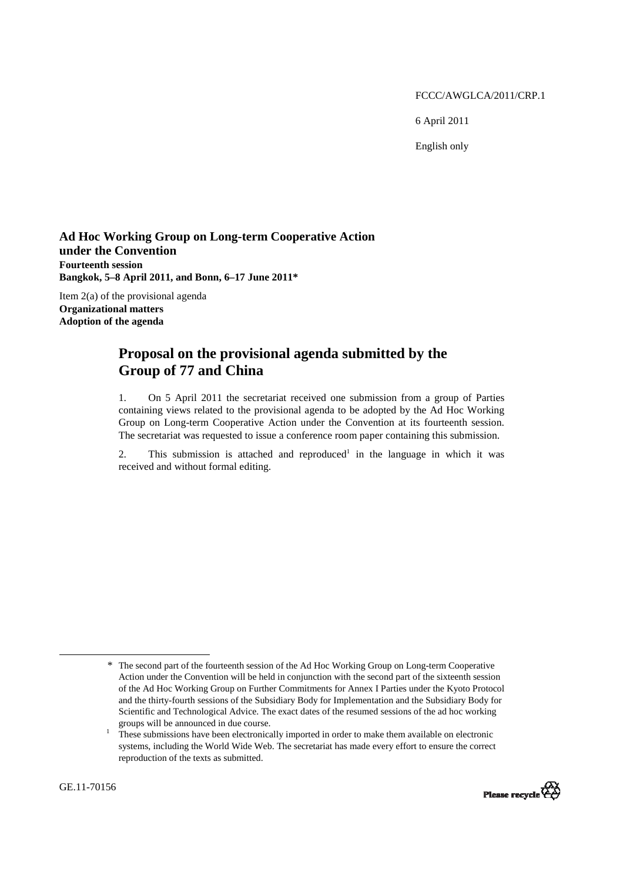FCCC/AWGLCA/2011/CRP.1

6 April 2011

English only

**Ad Hoc Working Group on Long-term Cooperative Action under the Convention Fourteenth session Bangkok, 5–8 April 2011, and Bonn, 6–17 June 2011\*** 

Item 2(a) of the provisional agenda

**Organizational matters Adoption of the agenda** 

## **Proposal on the provisional agenda submitted by the Group of 77 and China**

1. On 5 April 2011 the secretariat received one submission from a group of Parties containing views related to the provisional agenda to be adopted by the Ad Hoc Working Group on Long-term Cooperative Action under the Convention at its fourteenth session. The secretariat was requested to issue a conference room paper containing this submission.

2. This submission is attached and reproduced<sup>1</sup> in the language in which it was received and without formal editing.

These submissions have been electronically imported in order to make them available on electronic systems, including the World Wide Web. The secretariat has made every effort to ensure the correct reproduction of the texts as submitted.



 $\overline{a}$ 

<sup>\*</sup> The second part of the fourteenth session of the Ad Hoc Working Group on Long-term Cooperative Action under the Convention will be held in conjunction with the second part of the sixteenth session of the Ad Hoc Working Group on Further Commitments for Annex I Parties under the Kyoto Protocol and the thirty-fourth sessions of the Subsidiary Body for Implementation and the Subsidiary Body for Scientific and Technological Advice. The exact dates of the resumed sessions of the ad hoc working groups will be announced in due course.